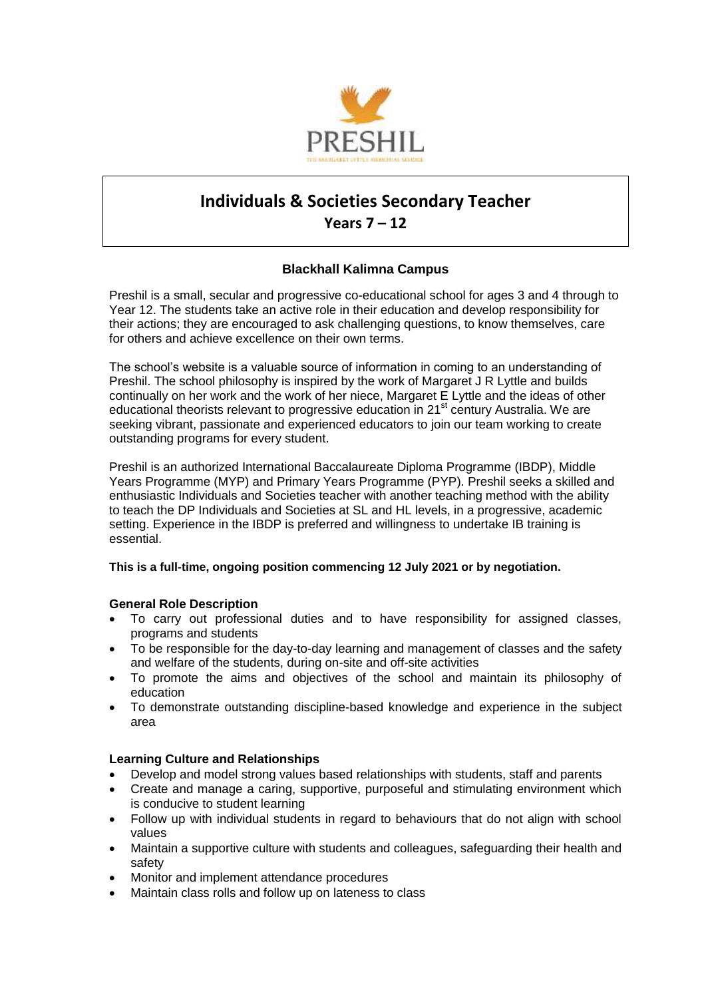

# **Individuals & Societies Secondary Teacher Years 7 – 12**

# **Blackhall Kalimna Campus**

Preshil is a small, secular and progressive co-educational school for ages 3 and 4 through to Year 12. The students take an active role in their education and develop responsibility for their actions; they are encouraged to ask challenging questions, to know themselves, care for others and achieve excellence on their own terms.

The school's website is a valuable source of information in coming to an understanding of Preshil. The school philosophy is inspired by the work of Margaret J R Lyttle and builds continually on her work and the work of her niece, Margaret E Lyttle and the ideas of other educational theorists relevant to progressive education in 21<sup>st</sup> century Australia. We are seeking vibrant, passionate and experienced educators to join our team working to create outstanding programs for every student.

Preshil is an authorized International Baccalaureate Diploma Programme (IBDP), Middle Years Programme (MYP) and Primary Years Programme (PYP). Preshil seeks a skilled and enthusiastic Individuals and Societies teacher with another teaching method with the ability to teach the DP Individuals and Societies at SL and HL levels, in a progressive, academic setting. Experience in the IBDP is preferred and willingness to undertake IB training is essential.

# **This is a full-time, ongoing position commencing 12 July 2021 or by negotiation.**

# **General Role Description**

- To carry out professional duties and to have responsibility for assigned classes, programs and students
- To be responsible for the day-to-day learning and management of classes and the safety and welfare of the students, during on-site and off-site activities
- To promote the aims and objectives of the school and maintain its philosophy of education
- To demonstrate outstanding discipline-based knowledge and experience in the subject area

# **Learning Culture and Relationships**

- Develop and model strong values based relationships with students, staff and parents
- Create and manage a caring, supportive, purposeful and stimulating environment which is conducive to student learning
- Follow up with individual students in regard to behaviours that do not align with school values
- Maintain a supportive culture with students and colleagues, safeguarding their health and safety
- Monitor and implement attendance procedures
- Maintain class rolls and follow up on lateness to class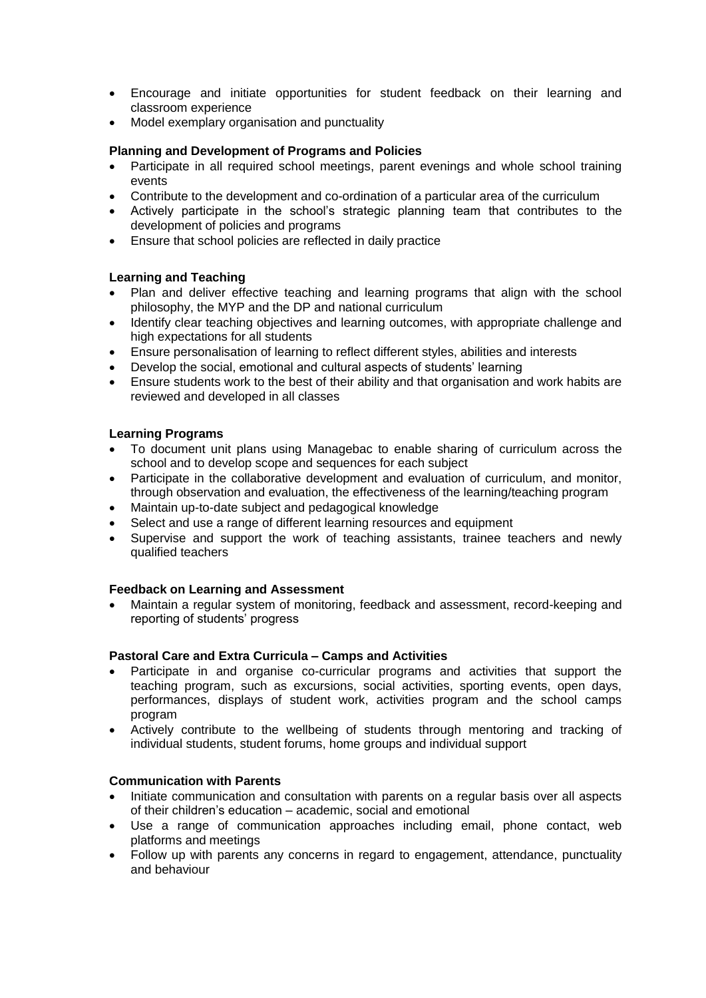- Encourage and initiate opportunities for student feedback on their learning and classroom experience
- Model exemplary organisation and punctuality

## **Planning and Development of Programs and Policies**

- Participate in all required school meetings, parent evenings and whole school training events
- Contribute to the development and co-ordination of a particular area of the curriculum
- Actively participate in the school's strategic planning team that contributes to the development of policies and programs
- Ensure that school policies are reflected in daily practice

## **Learning and Teaching**

- Plan and deliver effective teaching and learning programs that align with the school philosophy, the MYP and the DP and national curriculum
- Identify clear teaching objectives and learning outcomes, with appropriate challenge and high expectations for all students
- Ensure personalisation of learning to reflect different styles, abilities and interests
- Develop the social, emotional and cultural aspects of students' learning
- Ensure students work to the best of their ability and that organisation and work habits are reviewed and developed in all classes

## **Learning Programs**

- To document unit plans using Managebac to enable sharing of curriculum across the school and to develop scope and sequences for each subject
- Participate in the collaborative development and evaluation of curriculum, and monitor, through observation and evaluation, the effectiveness of the learning/teaching program
- Maintain up-to-date subject and pedagogical knowledge
- Select and use a range of different learning resources and equipment
- Supervise and support the work of teaching assistants, trainee teachers and newly qualified teachers

#### **Feedback on Learning and Assessment**

 Maintain a regular system of monitoring, feedback and assessment, record-keeping and reporting of students' progress

#### **Pastoral Care and Extra Curricula – Camps and Activities**

- Participate in and organise co-curricular programs and activities that support the teaching program, such as excursions, social activities, sporting events, open days, performances, displays of student work, activities program and the school camps program
- Actively contribute to the wellbeing of students through mentoring and tracking of individual students, student forums, home groups and individual support

#### **Communication with Parents**

- Initiate communication and consultation with parents on a regular basis over all aspects of their children's education – academic, social and emotional
- Use a range of communication approaches including email, phone contact, web platforms and meetings
- Follow up with parents any concerns in regard to engagement, attendance, punctuality and behaviour